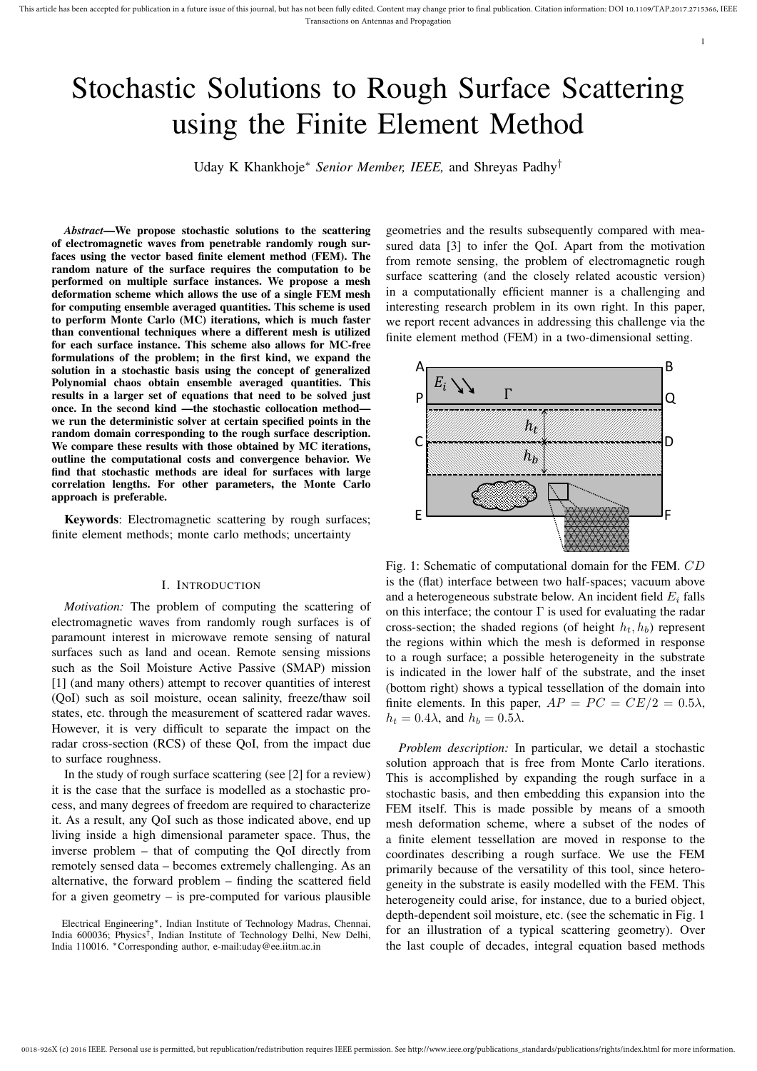# Stochastic Solutions to Rough Surface Scattering using the Finite Element Method

Uday K Khankhoje<sup>∗</sup> *Senior Member, IEEE,* and Shreyas Padhy†

*Abstract*—We propose stochastic solutions to the scattering of electromagnetic waves from penetrable randomly rough surfaces using the vector based finite element method (FEM). The random nature of the surface requires the computation to be performed on multiple surface instances. We propose a mesh deformation scheme which allows the use of a single FEM mesh for computing ensemble averaged quantities. This scheme is used to perform Monte Carlo (MC) iterations, which is much faster than conventional techniques where a different mesh is utilized for each surface instance. This scheme also allows for MC-free formulations of the problem; in the first kind, we expand the solution in a stochastic basis using the concept of generalized Polynomial chaos obtain ensemble averaged quantities. This results in a larger set of equations that need to be solved just once. In the second kind —the stochastic collocation method we run the deterministic solver at certain specified points in the random domain corresponding to the rough surface description. We compare these results with those obtained by MC iterations, outline the computational costs and convergence behavior. We find that stochastic methods are ideal for surfaces with large correlation lengths. For other parameters, the Monte Carlo approach is preferable.

Keywords: Electromagnetic scattering by rough surfaces; finite element methods; monte carlo methods; uncertainty

#### I. INTRODUCTION

*Motivation:* The problem of computing the scattering of electromagnetic waves from randomly rough surfaces is of paramount interest in microwave remote sensing of natural surfaces such as land and ocean. Remote sensing missions such as the Soil Moisture Active Passive (SMAP) mission [1] (and many others) attempt to recover quantities of interest (QoI) such as soil moisture, ocean salinity, freeze/thaw soil states, etc. through the measurement of scattered radar waves. However, it is very difficult to separate the impact on the radar cross-section (RCS) of these QoI, from the impact due to surface roughness.

In the study of rough surface scattering (see [2] for a review) it is the case that the surface is modelled as a stochastic process, and many degrees of freedom are required to characterize it. As a result, any QoI such as those indicated above, end up living inside a high dimensional parameter space. Thus, the inverse problem – that of computing the QoI directly from remotely sensed data – becomes extremely challenging. As an alternative, the forward problem – finding the scattered field for a given geometry – is pre-computed for various plausible

Electrical Engineering∗, Indian Institute of Technology Madras, Chennai, India 600036; Physics† , Indian Institute of Technology Delhi, New Delhi, India 110016. <sup>∗</sup>Corresponding author, e-mail:uday@ee.iitm.ac.in

geometries and the results subsequently compared with measured data [3] to infer the QoI. Apart from the motivation from remote sensing, the problem of electromagnetic rough surface scattering (and the closely related acoustic version) in a computationally efficient manner is a challenging and interesting research problem in its own right. In this paper, we report recent advances in addressing this challenge via the finite element method (FEM) in a two-dimensional setting.

1



Fig. 1: Schematic of computational domain for the FEM. CD is the (flat) interface between two half-spaces; vacuum above and a heterogeneous substrate below. An incident field  $E_i$  falls on this interface; the contour  $\Gamma$  is used for evaluating the radar cross-section; the shaded regions (of height  $h_t$ ,  $h_b$ ) represent the regions within which the mesh is deformed in response to a rough surface; a possible heterogeneity in the substrate is indicated in the lower half of the substrate, and the inset (bottom right) shows a typical tessellation of the domain into finite elements. In this paper,  $AP = PC = CE/2 = 0.5\lambda$ ,  $h_t = 0.4\lambda$ , and  $h_b = 0.5\lambda$ .

*Problem description:* In particular, we detail a stochastic solution approach that is free from Monte Carlo iterations. This is accomplished by expanding the rough surface in a stochastic basis, and then embedding this expansion into the FEM itself. This is made possible by means of a smooth mesh deformation scheme, where a subset of the nodes of a finite element tessellation are moved in response to the coordinates describing a rough surface. We use the FEM primarily because of the versatility of this tool, since heterogeneity in the substrate is easily modelled with the FEM. This heterogeneity could arise, for instance, due to a buried object, depth-dependent soil moisture, etc. (see the schematic in Fig. 1 for an illustration of a typical scattering geometry). Over the last couple of decades, integral equation based methods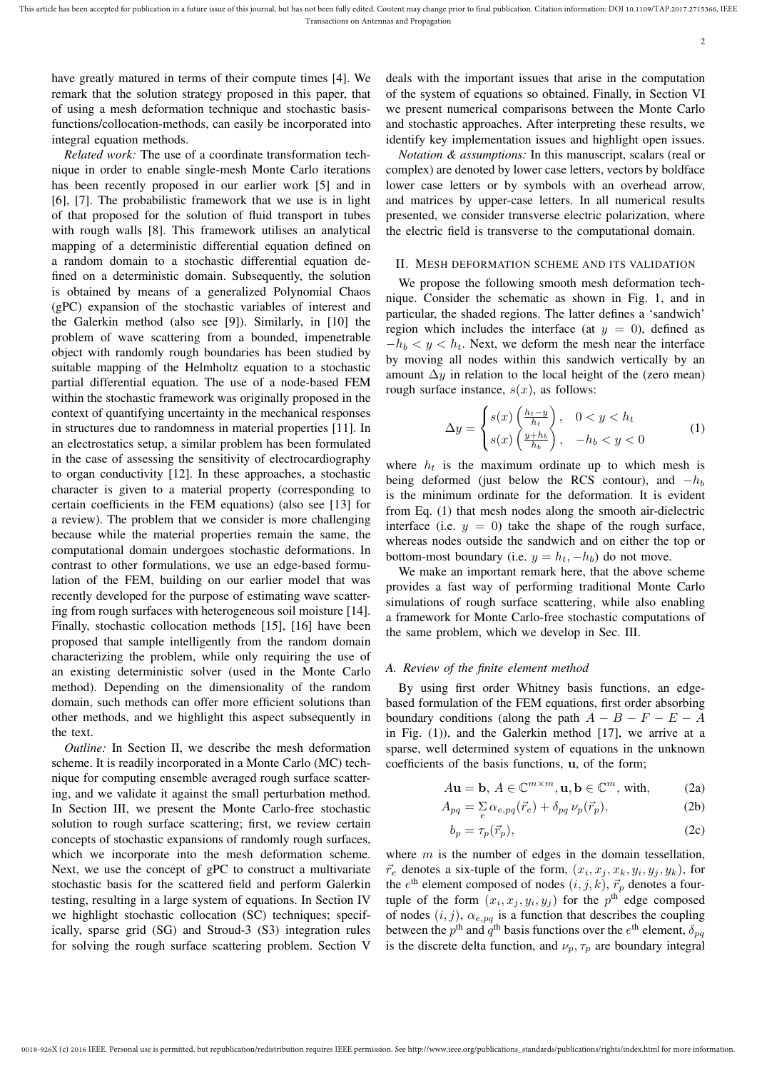have greatly matured in terms of their compute times [4]. We remark that the solution strategy proposed in this paper, that of using a mesh deformation technique and stochastic basisfunctions/collocation-methods, can easily be incorporated into integral equation methods.

*Related work:* The use of a coordinate transformation technique in order to enable single-mesh Monte Carlo iterations has been recently proposed in our earlier work [5] and in [6], [7]. The probabilistic framework that we use is in light of that proposed for the solution of fluid transport in tubes with rough walls [8]. This framework utilises an analytical mapping of a deterministic differential equation defined on a random domain to a stochastic differential equation defined on a deterministic domain. Subsequently, the solution is obtained by means of a generalized Polynomial Chaos (gPC) expansion of the stochastic variables of interest and the Galerkin method (also see [9]). Similarly, in [10] the problem of wave scattering from a bounded, impenetrable object with randomly rough boundaries has been studied by suitable mapping of the Helmholtz equation to a stochastic partial differential equation. The use of a node-based FEM within the stochastic framework was originally proposed in the context of quantifying uncertainty in the mechanical responses in structures due to randomness in material properties [11]. In an electrostatics setup, a similar problem has been formulated in the case of assessing the sensitivity of electrocardiography to organ conductivity [12]. In these approaches, a stochastic character is given to a material property (corresponding to certain coefficients in the FEM equations) (also see [13] for a review). The problem that we consider is more challenging because while the material properties remain the same, the computational domain undergoes stochastic deformations. In contrast to other formulations, we use an edge-based formulation of the FEM, building on our earlier model that was recently developed for the purpose of estimating wave scattering from rough surfaces with heterogeneous soil moisture [14]. Finally, stochastic collocation methods [15], [16] have been proposed that sample intelligently from the random domain characterizing the problem, while only requiring the use of an existing deterministic solver (used in the Monte Carlo method). Depending on the dimensionality of the random domain, such methods can offer more efficient solutions than other methods, and we highlight this aspect subsequently in the text.

*Outline:* In Section II, we describe the mesh deformation scheme. It is readily incorporated in a Monte Carlo (MC) technique for computing ensemble averaged rough surface scattering, and we validate it against the small perturbation method. In Section III, we present the Monte Carlo-free stochastic solution to rough surface scattering; first, we review certain concepts of stochastic expansions of randomly rough surfaces, which we incorporate into the mesh deformation scheme. Next, we use the concept of gPC to construct a multivariate stochastic basis for the scattered field and perform Galerkin testing, resulting in a large system of equations. In Section IV we highlight stochastic collocation (SC) techniques; specifically, sparse grid (SG) and Stroud-3 (S3) integration rules for solving the rough surface scattering problem. Section V

deals with the important issues that arise in the computation of the system of equations so obtained. Finally, in Section VI we present numerical comparisons between the Monte Carlo and stochastic approaches. After interpreting these results, we identify key implementation issues and highlight open issues.

*Notation & assumptions:* In this manuscript, scalars (real or complex) are denoted by lower case letters, vectors by boldface lower case letters or by symbols with an overhead arrow, and matrices by upper-case letters. In all numerical results presented, we consider transverse electric polarization, where the electric field is transverse to the computational domain.

#### II. MESH DEFORMATION SCHEME AND ITS VALIDATION

We propose the following smooth mesh deformation technique. Consider the schematic as shown in Fig. 1, and in particular, the shaded regions. The latter defines a 'sandwich' region which includes the interface (at  $y = 0$ ), defined as  $-h_b < y < h_t$ . Next, we deform the mesh near the interface by moving all nodes within this sandwich vertically by an amount  $\Delta y$  in relation to the local height of the (zero mean) rough surface instance,  $s(x)$ , as follows:

$$
\Delta y = \begin{cases} s(x) \left( \frac{h_t - y}{h_t} \right), & 0 < y < h_t \\ s(x) \left( \frac{y + h_b}{h_b} \right), & -h_b < y < 0 \end{cases}
$$
 (1)

where  $h_t$  is the maximum ordinate up to which mesh is being deformed (just below the RCS contour), and  $-h_b$ is the minimum ordinate for the deformation. It is evident from Eq. (1) that mesh nodes along the smooth air-dielectric interface (i.e.  $y = 0$ ) take the shape of the rough surface, whereas nodes outside the sandwich and on either the top or bottom-most boundary (i.e.  $y = h_t, -h_b$ ) do not move.

We make an important remark here, that the above scheme provides a fast way of performing traditional Monte Carlo simulations of rough surface scattering, while also enabling a framework for Monte Carlo-free stochastic computations of the same problem, which we develop in Sec. III.

#### *A. Review of the finite element method*

By using first order Whitney basis functions, an edgebased formulation of the FEM equations, first order absorbing boundary conditions (along the path  $A - B - F - E - A$ in Fig.  $(1)$ ), and the Galerkin method  $[17]$ , we arrive at a sparse, well determined system of equations in the unknown coefficients of the basis functions, u, of the form;

$$
A\mathbf{u} = \mathbf{b}, A \in \mathbb{C}^{m \times m}, \mathbf{u}, \mathbf{b} \in \mathbb{C}^m, \text{ with}, \tag{2a}
$$

$$
A_{pq} = \sum_{e} \alpha_{e,pq}(\vec{r}_e) + \delta_{pq} \nu_p(\vec{r}_p), \tag{2b}
$$

$$
b_p = \tau_p(\vec{r}_p),\tag{2c}
$$

where  $m$  is the number of edges in the domain tessellation,  $\vec{r}_e$  denotes a six-tuple of the form,  $(x_i, x_j, x_k, y_i, y_j, y_k)$ , for the  $e^{\text{th}}$  element composed of nodes  $(i, j, k)$ ,  $\vec{r}_p$  denotes a fourtuple of the form  $(x_i, x_j, y_i, y_j)$  for the  $p^{\text{th}}$  edge composed of nodes  $(i, j)$ ,  $\alpha_{e, pq}$  is a function that describes the coupling between the  $p^{\text{th}}$  and  $q^{\text{th}}$  basis functions over the  $e^{\text{th}}$  element,  $\delta_{pq}$ is the discrete delta function, and  $\nu_p, \tau_p$  are boundary integral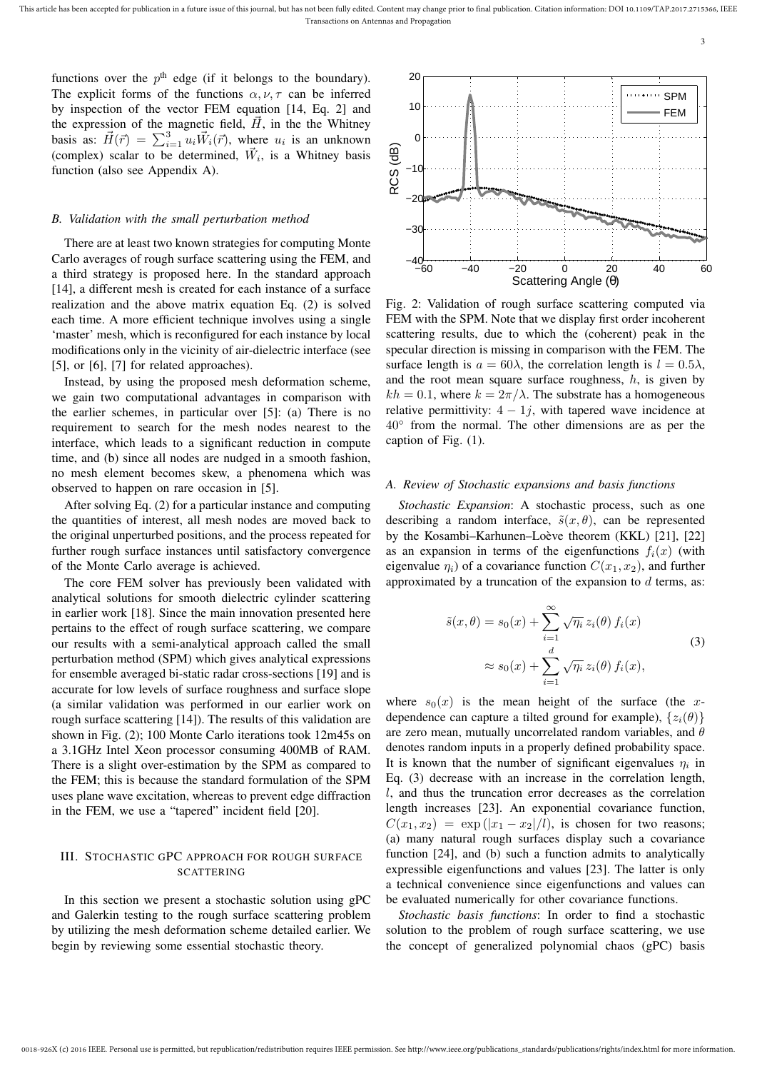functions over the  $p<sup>th</sup>$  edge (if it belongs to the boundary). The explicit forms of the functions  $\alpha$ ,  $\nu$ ,  $\tau$  can be inferred by inspection of the vector FEM equation [14, Eq. 2] and the expression of the magnetic field,  $\vec{H}$ , in the the Whitney basis as:  $\vec{H}(\vec{r}) = \sum_{i=1}^{3} u_i \vec{W}_i(\vec{r})$ , where  $u_i$  is an unknown (complex) scalar to be determined,  $\vec{W}_i$ , is a Whitney basis function (also see Appendix A).

#### *B. Validation with the small perturbation method*

There are at least two known strategies for computing Monte Carlo averages of rough surface scattering using the FEM, and a third strategy is proposed here. In the standard approach [14], a different mesh is created for each instance of a surface realization and the above matrix equation Eq. (2) is solved each time. A more efficient technique involves using a single 'master' mesh, which is reconfigured for each instance by local modifications only in the vicinity of air-dielectric interface (see [5], or [6], [7] for related approaches).

Instead, by using the proposed mesh deformation scheme, we gain two computational advantages in comparison with the earlier schemes, in particular over [5]: (a) There is no requirement to search for the mesh nodes nearest to the interface, which leads to a significant reduction in compute time, and (b) since all nodes are nudged in a smooth fashion, no mesh element becomes skew, a phenomena which was observed to happen on rare occasion in [5].

After solving Eq. (2) for a particular instance and computing the quantities of interest, all mesh nodes are moved back to the original unperturbed positions, and the process repeated for further rough surface instances until satisfactory convergence of the Monte Carlo average is achieved.

The core FEM solver has previously been validated with analytical solutions for smooth dielectric cylinder scattering in earlier work [18]. Since the main innovation presented here pertains to the effect of rough surface scattering, we compare our results with a semi-analytical approach called the small perturbation method (SPM) which gives analytical expressions for ensemble averaged bi-static radar cross-sections [19] and is accurate for low levels of surface roughness and surface slope (a similar validation was performed in our earlier work on rough surface scattering [14]). The results of this validation are shown in Fig. (2); 100 Monte Carlo iterations took 12m45s on a 3.1GHz Intel Xeon processor consuming 400MB of RAM. There is a slight over-estimation by the SPM as compared to the FEM; this is because the standard formulation of the SPM uses plane wave excitation, whereas to prevent edge diffraction in the FEM, we use a "tapered" incident field [20].

## III. STOCHASTIC GPC APPROACH FOR ROUGH SURFACE **SCATTERING**

In this section we present a stochastic solution using gPC and Galerkin testing to the rough surface scattering problem by utilizing the mesh deformation scheme detailed earlier. We begin by reviewing some essential stochastic theory.



3

Fig. 2: Validation of rough surface scattering computed via FEM with the SPM. Note that we display first order incoherent scattering results, due to which the (coherent) peak in the specular direction is missing in comparison with the FEM. The surface length is  $a = 60\lambda$ , the correlation length is  $l = 0.5\lambda$ , and the root mean square surface roughness,  $h$ , is given by  $kh = 0.1$ , where  $k = 2\pi/\lambda$ . The substrate has a homogeneous relative permittivity:  $4 - 1j$ , with tapered wave incidence at 40◦ from the normal. The other dimensions are as per the caption of Fig. (1).

#### *A. Review of Stochastic expansions and basis functions*

*Stochastic Expansion*: A stochastic process, such as one describing a random interface,  $\tilde{s}(x, \theta)$ , can be represented by the Kosambi–Karhunen–Loève theorem (KKL) [21], [22] as an expansion in terms of the eigenfunctions  $f_i(x)$  (with eigenvalue  $\eta_i$ ) of a covariance function  $C(x_1, x_2)$ , and further approximated by a truncation of the expansion to  $d$  terms, as:

$$
\tilde{s}(x,\theta) = s_0(x) + \sum_{i=1}^{\infty} \sqrt{\eta_i} \, z_i(\theta) \, f_i(x)
$$
  

$$
\approx s_0(x) + \sum_{i=1}^d \sqrt{\eta_i} \, z_i(\theta) \, f_i(x), \tag{3}
$$

where  $s_0(x)$  is the mean height of the surface (the xdependence can capture a tilted ground for example),  $\{z_i(\theta)\}$ are zero mean, mutually uncorrelated random variables, and  $\theta$ denotes random inputs in a properly defined probability space. It is known that the number of significant eigenvalues  $\eta_i$  in Eq. (3) decrease with an increase in the correlation length, l, and thus the truncation error decreases as the correlation length increases [23]. An exponential covariance function,  $C(x_1, x_2) = \exp(|x_1 - x_2|/l)$ , is chosen for two reasons; (a) many natural rough surfaces display such a covariance function [24], and (b) such a function admits to analytically expressible eigenfunctions and values [23]. The latter is only a technical convenience since eigenfunctions and values can be evaluated numerically for other covariance functions.

*Stochastic basis functions*: In order to find a stochastic solution to the problem of rough surface scattering, we use the concept of generalized polynomial chaos (gPC) basis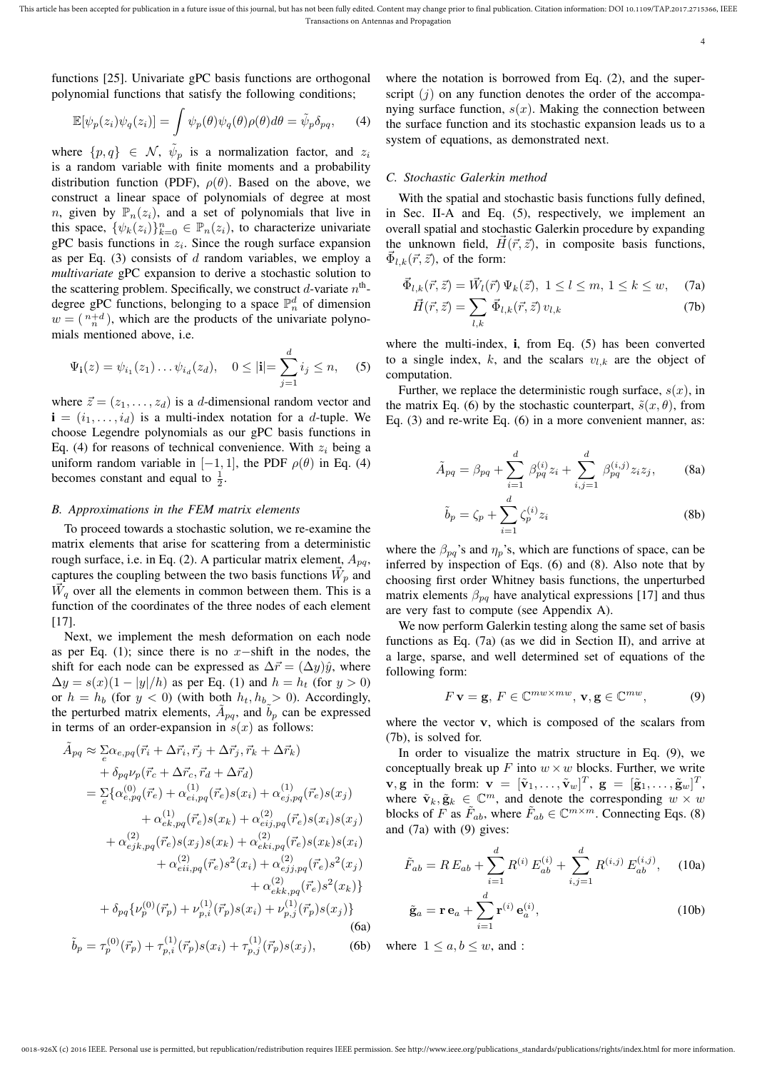functions [25]. Univariate gPC basis functions are orthogonal polynomial functions that satisfy the following conditions;

$$
\mathbb{E}[\psi_p(z_i)\psi_q(z_i)] = \int \psi_p(\theta)\psi_q(\theta)\rho(\theta)d\theta = \tilde{\psi}_p\delta_{pq},\qquad(4)
$$

where  $\{p, q\} \in \mathcal{N}$ ,  $\tilde{\psi}_p$  is a normalization factor, and  $z_i$ is a random variable with finite moments and a probability distribution function (PDF),  $\rho(\theta)$ . Based on the above, we construct a linear space of polynomials of degree at most n, given by  $\mathbb{P}_n(z_i)$ , and a set of polynomials that live in this space,  $\{\psi_k(z_i)\}_{k=0}^n \in \mathbb{P}_n(z_i)$ , to characterize univariate gPC basis functions in  $z_i$ . Since the rough surface expansion as per Eq.  $(3)$  consists of d random variables, we employ a *multivariate* gPC expansion to derive a stochastic solution to the scattering problem. Specifically, we construct d-variate  $n^{\text{th}}$ degree gPC functions, belonging to a space  $\mathbb{P}_n^d$  of dimension  $w = \binom{n+d}{n}$ , which are the products of the univariate polynomials mentioned above, i.e.

$$
\Psi_{\mathbf{i}}(z) = \psi_{i_1}(z_1) \dots \psi_{i_d}(z_d), \quad 0 \leq |\mathbf{i}| = \sum_{j=1}^d i_j \leq n,
$$
 (5)

where  $\vec{z} = (z_1, \dots, z_d)$  is a d-dimensional random vector and  $\mathbf{i} = (i_1, \ldots, i_d)$  is a multi-index notation for a *d*-tuple. We choose Legendre polynomials as our gPC basis functions in Eq. (4) for reasons of technical convenience. With  $z_i$  being a uniform random variable in [−1, 1], the PDF  $\rho(\theta)$  in Eq. (4) becomes constant and equal to  $\frac{1}{2}$ .

#### *B. Approximations in the FEM matrix elements*

To proceed towards a stochastic solution, we re-examine the matrix elements that arise for scattering from a deterministic rough surface, i.e. in Eq. (2). A particular matrix element,  $A_{pq}$ , captures the coupling between the two basis functions  $\vec{W}_p$  and  $\overline{W}_q$  over all the elements in common between them. This is a function of the coordinates of the three nodes of each element [17].

Next, we implement the mesh deformation on each node as per Eq. (1); since there is no  $x$ −shift in the nodes, the shift for each node can be expressed as  $\Delta \vec{r} = (\Delta y)\hat{y}$ , where  $\Delta y = s(x)(1 - |y|/h)$  as per Eq. (1) and  $h = h_t$  (for  $y > 0$ ) or  $h = h_b$  (for  $y < 0$ ) (with both  $h_t, h_b > 0$ ). Accordingly, the perturbed matrix elements,  $\tilde{A}_{pq}$ , and  $\tilde{b}_p$  can be expressed in terms of an order-expansion in  $s(x)$  as follows:

$$
\tilde{A}_{pq} \approx \sum_{e} \alpha_{e,pq} (\vec{r}_{i} + \Delta \vec{r}_{i}, \vec{r}_{j} + \Delta \vec{r}_{j}, \vec{r}_{k} + \Delta \vec{r}_{k}) \n+ \delta_{pq} \nu_{p} (\vec{r}_{c} + \Delta \vec{r}_{c}, \vec{r}_{d} + \Delta \vec{r}_{d}) \n= \sum_{e} \{ \alpha_{e,pq}^{(0)} (\vec{r}_{e}) + \alpha_{ei,pq}^{(1)} (\vec{r}_{e}) s(x_{i}) + \alpha_{ej,pq}^{(1)} (\vec{r}_{e}) s(x_{j}) \n+ \alpha_{ek,pq}^{(1)} (\vec{r}_{e}) s(x_{k}) + \alpha_{eij,pq}^{(2)} (\vec{r}_{e}) s(x_{i}) s(x_{j}) \n+ \alpha_{ejk,pq}^{(2)} (\vec{r}_{e}) s(x_{j}) s(x_{k}) + \alpha_{eki,pq}^{(2)} (\vec{r}_{e}) s(x_{k}) s(x_{i}) \n+ \alpha_{eii,pq}^{(2)} (\vec{r}_{e}) s^{2}(x_{i}) + \alpha_{eij,pq}^{(2)} (\vec{r}_{e}) s^{2}(x_{j}) \n+ \alpha_{eik,pq}^{(2)} (\vec{r}_{e}) s^{2}(x_{k}) \}
$$
\n
$$
+ \delta_{pq} \{ \nu_{p}^{(0)} (\vec{r}_{p}) + \nu_{p,i}^{(1)} (\vec{r}_{p}) s(x_{i}) + \nu_{p,j}^{(1)} (\vec{r}_{p}) s(x_{j}) \}
$$
\n(6a)\n
$$
\tilde{b}_{p} = \tau_{p}^{(0)} (\vec{r}_{p}) + \tau_{p,i}^{(1)} (\vec{r}_{p}) s(x_{i}) + \tau_{p,j}^{(1)} (\vec{r}_{p}) s(x_{j}), \qquad (6b)
$$

where the notation is borrowed from Eq.  $(2)$ , and the superscript  $(j)$  on any function denotes the order of the accompanying surface function,  $s(x)$ . Making the connection between the surface function and its stochastic expansion leads us to a system of equations, as demonstrated next.

#### *C. Stochastic Galerkin method*

With the spatial and stochastic basis functions fully defined, in Sec. II-A and Eq. (5), respectively, we implement an overall spatial and stochastic Galerkin procedure by expanding the unknown field,  $\vec{H}(\vec{r}, \vec{z})$ , in composite basis functions,  $\vec{\Phi}_{l,k}(\vec{r},\vec{z})$ , of the form:

$$
\vec{\Phi}_{l,k}(\vec{r},\vec{z}) = \vec{W}_l(\vec{r}) \Psi_k(\vec{z}), \ 1 \le l \le m, \ 1 \le k \le w, \quad (7a)
$$

$$
\vec{H}(\vec{r},\vec{z}) = \sum_{l,k} \vec{\Phi}_{l,k}(\vec{r},\vec{z}) v_{l,k}
$$
 (7b)

where the multi-index, i, from Eq. (5) has been converted to a single index, k, and the scalars  $v_{l,k}$  are the object of computation.

Further, we replace the deterministic rough surface,  $s(x)$ , in the matrix Eq. (6) by the stochastic counterpart,  $\tilde{s}(x, \theta)$ , from Eq. (3) and re-write Eq. (6) in a more convenient manner, as:

$$
\tilde{A}_{pq} = \beta_{pq} + \sum_{i=1}^{d} \beta_{pq}^{(i)} z_i + \sum_{i,j=1}^{d} \beta_{pq}^{(i,j)} z_i z_j, \qquad (8a)
$$

$$
\tilde{b}_p = \zeta_p + \sum_{i=1}^d \zeta_p^{(i)} z_i
$$
 (8b)

where the  $\beta_{pq}$ 's and  $\eta_p$ 's, which are functions of space, can be inferred by inspection of Eqs. (6) and (8). Also note that by choosing first order Whitney basis functions, the unperturbed matrix elements  $\beta_{pq}$  have analytical expressions [17] and thus are very fast to compute (see Appendix A).

We now perform Galerkin testing along the same set of basis functions as Eq. (7a) (as we did in Section II), and arrive at a large, sparse, and well determined set of equations of the following form:

$$
F \mathbf{v} = \mathbf{g}, F \in \mathbb{C}^{mw \times mw}, \mathbf{v}, \mathbf{g} \in \mathbb{C}^{mw}, \tag{9}
$$

where the vector **v**, which is composed of the scalars from (7b), is solved for.

In order to visualize the matrix structure in Eq. (9), we conceptually break up  $F$  into  $w \times w$  blocks. Further, we write  $\mathbf{v}, \mathbf{g}$  in the form:  $\mathbf{v} = [\tilde{\mathbf{v}}_1, \dots, \tilde{\mathbf{v}}_w]^T$ ,  $\mathbf{g} = [\tilde{\mathbf{g}}_1, \dots, \tilde{\mathbf{g}}_w]^T$ , where  $\tilde{\mathbf{v}}_k, \tilde{\mathbf{g}}_k \in \mathbb{C}^m$ , and denote the corresponding  $w \times w$ blocks of F as  $\tilde{F}_{ab}$ , where  $\tilde{F}_{ab} \in \mathbb{C}^{m \times m}$ . Connecting Eqs. (8) and (7a) with (9) gives:

$$
\tilde{F}_{ab} = R E_{ab} + \sum_{i=1}^{d} R^{(i)} E_{ab}^{(i)} + \sum_{i,j=1}^{d} R^{(i,j)} E_{ab}^{(i,j)}, \quad (10a)
$$

$$
\tilde{\mathbf{g}}_a = \mathbf{r} \,\mathbf{e}_a + \sum_{i=1}^d \mathbf{r}^{(i)} \,\mathbf{e}_a^{(i)},\tag{10b}
$$

where  $1 \le a, b \le w$ , and :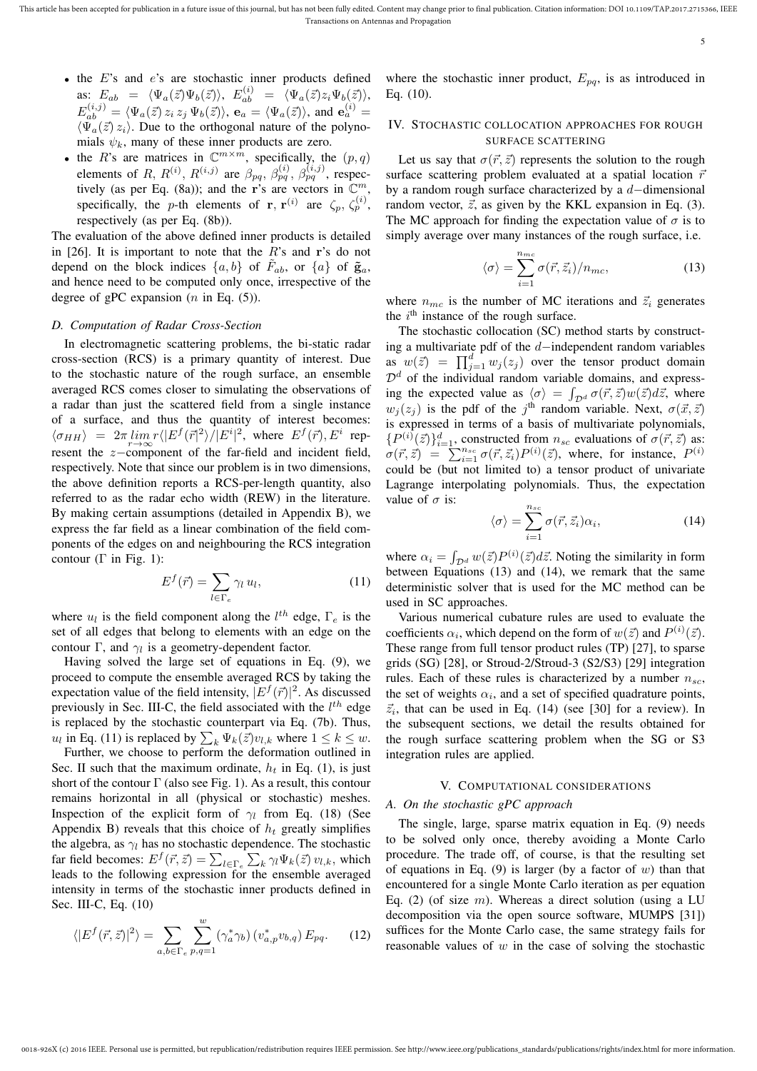- $\bullet$  the  $E$ 's and  $e$ 's are stochastic inner products defined as:  $E_{ab} = \langle \Psi_a(\vec{z}) \Psi_b(\vec{z}) \rangle$ ,  $E_{ab}^{(i)} = \langle \Psi_a(\vec{z}) z_i \Psi_b(\vec{z}) \rangle$ ,  $E_{ab}^{(i,j)} = \langle \Psi_a(\vec{z}) z_i z_j \Psi_b(\vec{z}) \rangle$ ,  $\mathbf{e}_a = \langle \Psi_a(\vec{z}) \rangle$ , and  $\mathbf{e}_a^{(i)} =$  $\langle \bar{\Psi}_a(\vec{z}) z_i \rangle$ . Due to the orthogonal nature of the polynomials  $\psi_k$ , many of these inner products are zero.
- the R's are matrices in  $\mathbb{C}^{m \times m}$ , specifically, the  $(p, q)$ elements of R,  $R^{(i)}$ ,  $R^{(i,j)}$  are  $\beta_{pq}$ ,  $\beta_{pq}^{(i)}$ ,  $\beta_{pq}^{(i,j)}$ , respectively (as per Eq. (8a)); and the r's are vectors in  $\mathbb{C}^m$ , specifically, the *p*-th elements of **r**, **r**<sup>(i)</sup> are  $\zeta_p$ ,  $\zeta_p^{(i)}$ , respectively (as per Eq. (8b)).

The evaluation of the above defined inner products is detailed in [26]. It is important to note that the  $R$ 's and r's do not depend on the block indices  $\{a, b\}$  of  $\tilde{F}_{ab}$ , or  $\{a\}$  of  $\tilde{g}_a$ , and hence need to be computed only once, irrespective of the degree of gPC expansion  $(n \text{ in Eq. } (5))$ .

### *D. Computation of Radar Cross-Section*

In electromagnetic scattering problems, the bi-static radar cross-section (RCS) is a primary quantity of interest. Due to the stochastic nature of the rough surface, an ensemble averaged RCS comes closer to simulating the observations of a radar than just the scattered field from a single instance of a surface, and thus the quantity of interest becomes:  $\langle \sigma_{HH} \rangle$  =  $2\pi \lim_{r \to \infty} r \langle |E^f(\vec{r}|^2) / |E^i|^2$ , where  $E^f(\vec{r}), E^i$  represent the  $z$ -component of the far-field and incident field, respectively. Note that since our problem is in two dimensions, the above definition reports a RCS-per-length quantity, also referred to as the radar echo width (REW) in the literature. By making certain assumptions (detailed in Appendix B), we express the far field as a linear combination of the field components of the edges on and neighbouring the RCS integration contour ( $\Gamma$  in Fig. 1):

$$
E^f(\vec{r}) = \sum_{l \in \Gamma_e} \gamma_l u_l, \qquad (11)
$$

where  $u_l$  is the field component along the  $l^{th}$  edge,  $\Gamma_e$  is the set of all edges that belong to elements with an edge on the contour  $\Gamma$ , and  $\gamma_l$  is a geometry-dependent factor.

Having solved the large set of equations in Eq. (9), we proceed to compute the ensemble averaged RCS by taking the expectation value of the field intensity,  $|E^f(\vec{r})|^2$ . As discussed previously in Sec. III-C, the field associated with the  $l^{th}$  edge is replaced by the stochastic counterpart via Eq. (7b). Thus,  $u_l$  in Eq. (11) is replaced by  $\sum_k \Psi_k(\vec{z}) v_{l,k}$  where  $1 \leq k \leq w$ .

Further, we choose to perform the deformation outlined in Sec. II such that the maximum ordinate,  $h_t$  in Eq. (1), is just short of the contour  $\Gamma$  (also see Fig. 1). As a result, this contour remains horizontal in all (physical or stochastic) meshes. Inspection of the explicit form of  $\gamma_l$  from Eq. (18) (See Appendix B) reveals that this choice of  $h_t$  greatly simplifies the algebra, as  $\gamma_l$  has no stochastic dependence. The stochastic far field becomes:  $E^f(\vec{r}, \vec{z}) = \sum_{l \in \Gamma_e} \sum_k \gamma_l \Psi_k(\vec{z}) v_{l,k}$ , which leads to the following expression for the ensemble averaged intensity in terms of the stochastic inner products defined in Sec. III-C, Eq. (10)

$$
\langle |E^f(\vec{r},\vec{z})|^2 \rangle = \sum_{a,b \in \Gamma_e} \sum_{p,q=1}^w (\gamma_a^* \gamma_b) (v_{a,p}^* v_{b,q}) E_{pq}.
$$
 (12)

where the stochastic inner product,  $E_{pq}$ , is as introduced in Eq. (10).

#### IV. STOCHASTIC COLLOCATION APPROACHES FOR ROUGH SURFACE SCATTERING

Let us say that  $\sigma(\vec{r}, \vec{z})$  represents the solution to the rough surface scattering problem evaluated at a spatial location  $\vec{r}$ by a random rough surface characterized by a d−dimensional random vector,  $\vec{z}$ , as given by the KKL expansion in Eq. (3). The MC approach for finding the expectation value of  $\sigma$  is to simply average over many instances of the rough surface, *i.e.* 

$$
\langle \sigma \rangle = \sum_{i=1}^{n_{mc}} \sigma(\vec{r}, \vec{z}_i) / n_{mc}, \qquad (13)
$$

5

where  $n_{mc}$  is the number of MC iterations and  $\vec{z}_i$  generates the  $i<sup>th</sup>$  instance of the rough surface.

The stochastic collocation (SC) method starts by constructing a multivariate pdf of the d−independent random variables as  $w(\vec{z}) = \prod_{j=1}^{d} w_j(z_j)$  over the tensor product domain  $\mathcal{D}^d$  of the individual random variable domains, and expressing the expected value as  $\langle \sigma \rangle = \int_{\mathcal{D}^d} \sigma(\vec{r}, \vec{z}) w(\vec{z}) d\vec{z}$ , where  $w_j(z_j)$  is the pdf of the j<sup>th</sup> random variable. Next,  $\sigma(\vec{x}, \vec{z})$ is expressed in terms of a basis of multivariate polynomials,  $\{P^{(i)}(\vec{z})\}_{i=1}^d$ , constructed from  $n_{sc}$  evaluations of  $\sigma(\vec{r}, \vec{z})$  as:  $\sigma(\vec{r}, \vec{z}) = \sum_{i=1}^{n_{sc}} \sigma(\vec{r}, \vec{z}_i) P^{(i)}(\vec{z})$ , where, for instance,  $P^{(i)}$ could be (but not limited to) a tensor product of univariate Lagrange interpolating polynomials. Thus, the expectation value of  $\sigma$  is:

$$
\langle \sigma \rangle = \sum_{i=1}^{n_{sc}} \sigma(\vec{r}, \vec{z}_i) \alpha_i, \tag{14}
$$

where  $\alpha_i = \int_{\mathcal{D}^d} w(\vec{z}) P^{(i)}(\vec{z}) d\vec{z}$ . Noting the similarity in form between Equations (13) and (14), we remark that the same deterministic solver that is used for the MC method can be used in SC approaches.

Various numerical cubature rules are used to evaluate the coefficients  $\alpha_i$ , which depend on the form of  $w(\vec{z})$  and  $P^{(i)}(\vec{z})$ . These range from full tensor product rules (TP) [27], to sparse grids (SG) [28], or Stroud-2/Stroud-3 (S2/S3) [29] integration rules. Each of these rules is characterized by a number  $n_{sc}$ , the set of weights  $\alpha_i$ , and a set of specified quadrature points,  $\vec{z}_i$ , that can be used in Eq. (14) (see [30] for a review). In the subsequent sections, we detail the results obtained for the rough surface scattering problem when the SG or S3 integration rules are applied.

#### V. COMPUTATIONAL CONSIDERATIONS

#### *A. On the stochastic gPC approach*

0018-926X (c) 2016 IEEE. Personal use is permitted, but republication/redistribution requires IEEE permission. See http://www.ieee.org/publications\_standards/publications/rights/index.html for more information.

The single, large, sparse matrix equation in Eq. (9) needs to be solved only once, thereby avoiding a Monte Carlo procedure. The trade off, of course, is that the resulting set of equations in Eq. (9) is larger (by a factor of  $w$ ) than that encountered for a single Monte Carlo iteration as per equation Eq. (2) (of size m). Whereas a direct solution (using a LU decomposition via the open source software, MUMPS [31]) suffices for the Monte Carlo case, the same strategy fails for reasonable values of  $w$  in the case of solving the stochastic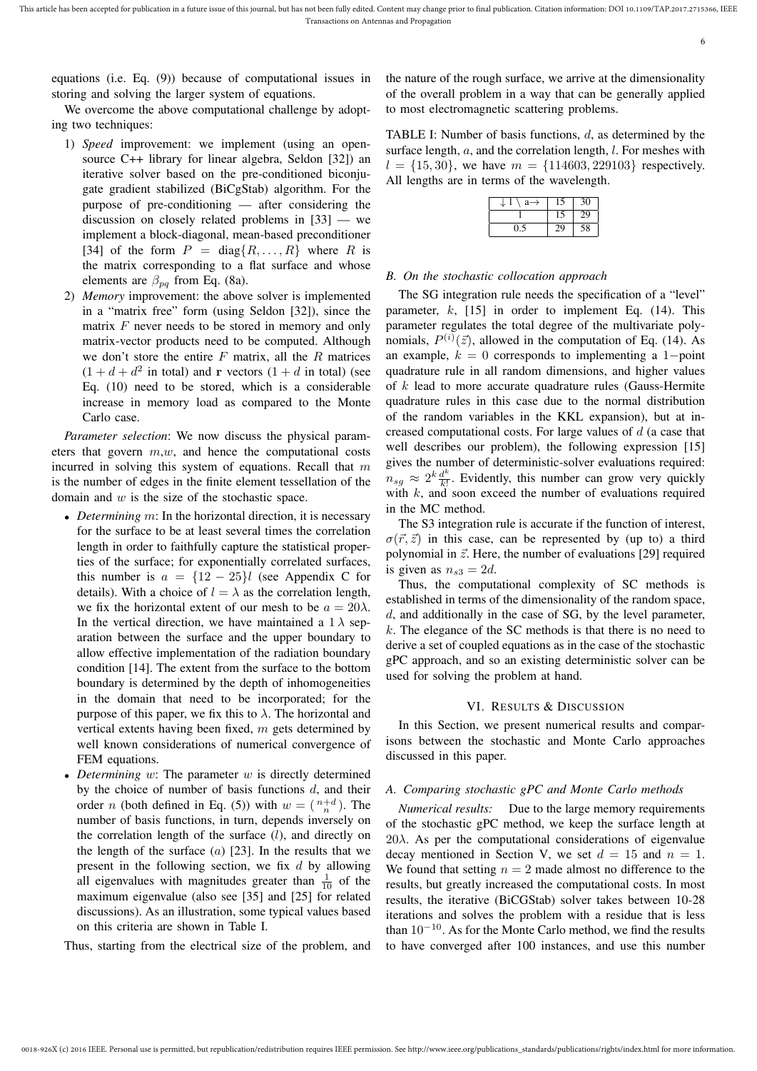equations (i.e. Eq. (9)) because of computational issues in storing and solving the larger system of equations.

We overcome the above computational challenge by adopting two techniques:

- 1) *Speed* improvement: we implement (using an opensource C++ library for linear algebra, Seldon [32]) an iterative solver based on the pre-conditioned biconjugate gradient stabilized (BiCgStab) algorithm. For the purpose of pre-conditioning — after considering the discussion on closely related problems in [33] — we implement a block-diagonal, mean-based preconditioner [34] of the form  $P = diag\{R, \ldots, R\}$  where R is the matrix corresponding to a flat surface and whose elements are  $\beta_{pq}$  from Eq. (8a).
- 2) *Memory* improvement: the above solver is implemented in a "matrix free" form (using Seldon [32]), since the matrix  $F$  never needs to be stored in memory and only matrix-vector products need to be computed. Although we don't store the entire  $F$  matrix, all the  $R$  matrices  $(1 + d + d^2$  in total) and **r** vectors  $(1 + d$  in total) (see Eq. (10) need to be stored, which is a considerable increase in memory load as compared to the Monte Carlo case.

*Parameter selection*: We now discuss the physical parameters that govern  $m, w$ , and hence the computational costs incurred in solving this system of equations. Recall that  $m$ is the number of edges in the finite element tessellation of the domain and  $w$  is the size of the stochastic space.

- *Determining m*: In the horizontal direction, it is necessary for the surface to be at least several times the correlation length in order to faithfully capture the statistical properties of the surface; for exponentially correlated surfaces, this number is  $a = \{12 - 25\}l$  (see Appendix C for details). With a choice of  $l = \lambda$  as the correlation length, we fix the horizontal extent of our mesh to be  $a = 20\lambda$ . In the vertical direction, we have maintained a  $1 \lambda$  separation between the surface and the upper boundary to allow effective implementation of the radiation boundary condition [14]. The extent from the surface to the bottom boundary is determined by the depth of inhomogeneities in the domain that need to be incorporated; for the purpose of this paper, we fix this to  $\lambda$ . The horizontal and vertical extents having been fixed, m gets determined by well known considerations of numerical convergence of FEM equations.
- *Determining w*: The parameter w is directly determined by the choice of number of basis functions  $d$ , and their order *n* (both defined in Eq. (5)) with  $w = \binom{n+d}{n}$ . The number of basis functions, in turn, depends inversely on the correlation length of the surface  $(l)$ , and directly on the length of the surface  $(a)$  [23]. In the results that we present in the following section, we fix  $d$  by allowing all eigenvalues with magnitudes greater than  $\frac{1}{10}$  of the maximum eigenvalue (also see [35] and [25] for related discussions). As an illustration, some typical values based on this criteria are shown in Table I.

Thus, starting from the electrical size of the problem, and

the nature of the rough surface, we arrive at the dimensionality of the overall problem in a way that can be generally applied to most electromagnetic scattering problems.

TABLE I: Number of basis functions,  $d$ , as determined by the surface length,  $a$ , and the correlation length,  $l$ . For meshes with  $l = \{15, 30\}$ , we have  $m = \{114603, 229103\}$  respectively. All lengths are in terms of the wavelength.

|     |    | 30 |
|-----|----|----|
|     |    | 29 |
| າ - | 29 | 58 |

#### *B. On the stochastic collocation approach*

The SG integration rule needs the specification of a "level" parameter,  $k$ , [15] in order to implement Eq. (14). This parameter regulates the total degree of the multivariate polynomials,  $P^{(i)}(\vec{z})$ , allowed in the computation of Eq. (14). As an example,  $k = 0$  corresponds to implementing a 1-point quadrature rule in all random dimensions, and higher values of k lead to more accurate quadrature rules (Gauss-Hermite quadrature rules in this case due to the normal distribution of the random variables in the KKL expansion), but at increased computational costs. For large values of d (a case that well describes our problem), the following expression [15] gives the number of deterministic-solver evaluations required:  $n_{sg} \approx 2^k \frac{d^k}{k!}$  $\frac{d^{n}}{k!}$ . Evidently, this number can grow very quickly with  $k$ , and soon exceed the number of evaluations required in the MC method.

The S3 integration rule is accurate if the function of interest,  $\sigma(\vec{r}, \vec{z})$  in this case, can be represented by (up to) a third polynomial in  $\vec{z}$ . Here, the number of evaluations [29] required is given as  $n_{s3} = 2d$ .

Thus, the computational complexity of SC methods is established in terms of the dimensionality of the random space, d, and additionally in the case of SG, by the level parameter,  $k$ . The elegance of the SC methods is that there is no need to derive a set of coupled equations as in the case of the stochastic gPC approach, and so an existing deterministic solver can be used for solving the problem at hand.

### VI. RESULTS & DISCUSSION

In this Section, we present numerical results and comparisons between the stochastic and Monte Carlo approaches discussed in this paper.

#### *A. Comparing stochastic gPC and Monte Carlo methods*

*Numerical results:* Due to the large memory requirements of the stochastic gPC method, we keep the surface length at 20 $\lambda$ . As per the computational considerations of eigenvalue decay mentioned in Section V, we set  $d = 15$  and  $n = 1$ . We found that setting  $n = 2$  made almost no difference to the results, but greatly increased the computational costs. In most results, the iterative (BiCGStab) solver takes between 10-28 iterations and solves the problem with a residue that is less than  $10^{-10}$ . As for the Monte Carlo method, we find the results to have converged after 100 instances, and use this number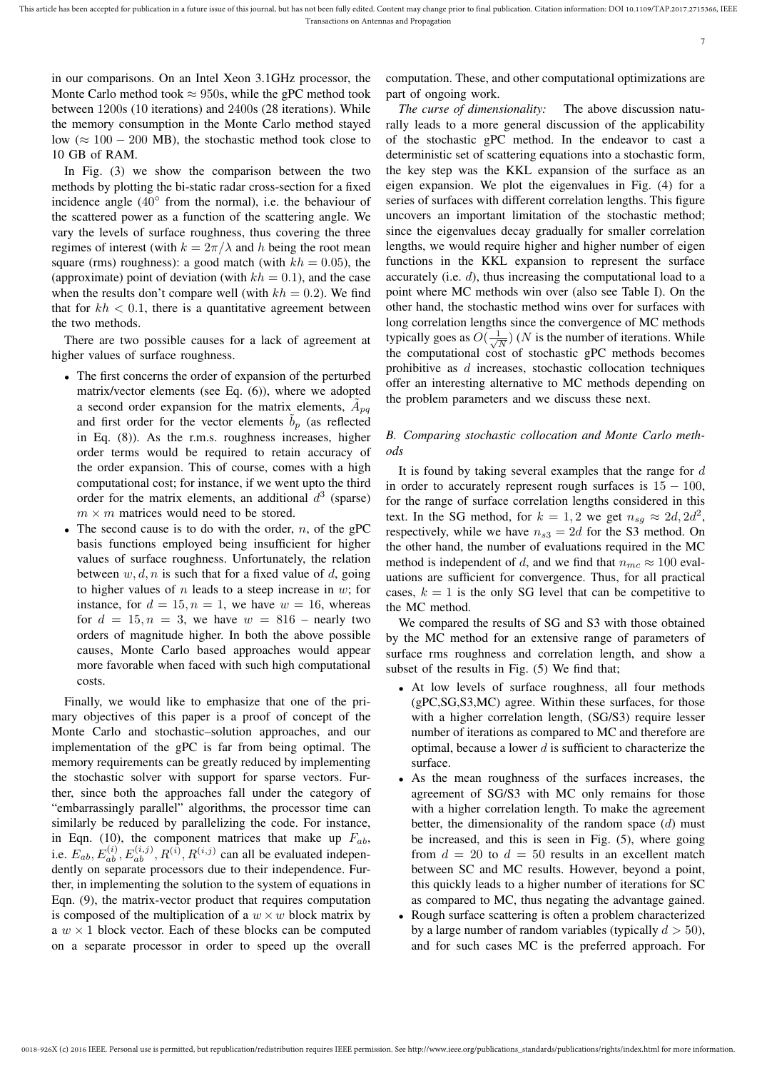in our comparisons. On an Intel Xeon 3.1GHz processor, the Monte Carlo method took  $\approx 950$ s, while the gPC method took between 1200s (10 iterations) and 2400s (28 iterations). While the memory consumption in the Monte Carlo method stayed low ( $\approx 100 - 200$  MB), the stochastic method took close to 10 GB of RAM.

In Fig. (3) we show the comparison between the two methods by plotting the bi-static radar cross-section for a fixed incidence angle (40◦ from the normal), i.e. the behaviour of the scattered power as a function of the scattering angle. We vary the levels of surface roughness, thus covering the three regimes of interest (with  $k = 2\pi/\lambda$  and h being the root mean square (rms) roughness): a good match (with  $kh = 0.05$ ), the (approximate) point of deviation (with  $kh = 0.1$ ), and the case when the results don't compare well (with  $kh = 0.2$ ). We find that for  $kh < 0.1$ , there is a quantitative agreement between the two methods.

There are two possible causes for a lack of agreement at higher values of surface roughness.

- The first concerns the order of expansion of the perturbed matrix/vector elements (see Eq. (6)), where we adopted a second order expansion for the matrix elements,  $\tilde{A}_{pq}$ and first order for the vector elements  $b_p$  (as reflected in Eq. (8)). As the r.m.s. roughness increases, higher order terms would be required to retain accuracy of the order expansion. This of course, comes with a high computational cost; for instance, if we went upto the third order for the matrix elements, an additional  $d^3$  (sparse)  $m \times m$  matrices would need to be stored.
- The second cause is to do with the order,  $n$ , of the gPC basis functions employed being insufficient for higher values of surface roughness. Unfortunately, the relation between  $w, d, n$  is such that for a fixed value of d, going to higher values of  $n$  leads to a steep increase in  $w$ ; for instance, for  $d = 15$ ,  $n = 1$ , we have  $w = 16$ , whereas for  $d = 15$ ,  $n = 3$ , we have  $w = 816$  – nearly two orders of magnitude higher. In both the above possible causes, Monte Carlo based approaches would appear more favorable when faced with such high computational costs.

Finally, we would like to emphasize that one of the primary objectives of this paper is a proof of concept of the Monte Carlo and stochastic–solution approaches, and our implementation of the gPC is far from being optimal. The memory requirements can be greatly reduced by implementing the stochastic solver with support for sparse vectors. Further, since both the approaches fall under the category of "embarrassingly parallel" algorithms, the processor time can similarly be reduced by parallelizing the code. For instance, in Eqn. (10), the component matrices that make up  $F_{ab}$ , i.e.  $\overline{E}_{ab}, \overline{E}_{ab}^{(i)}, E_{ab}^{(i,j)}, R^{(i)}, R^{(i,j)}$  can all be evaluated independently on separate processors due to their independence. Further, in implementing the solution to the system of equations in Eqn. (9), the matrix-vector product that requires computation is composed of the multiplication of a  $w \times w$  block matrix by a  $w \times 1$  block vector. Each of these blocks can be computed on a separate processor in order to speed up the overall computation. These, and other computational optimizations are part of ongoing work.

*The curse of dimensionality:* The above discussion naturally leads to a more general discussion of the applicability of the stochastic gPC method. In the endeavor to cast a deterministic set of scattering equations into a stochastic form, the key step was the KKL expansion of the surface as an eigen expansion. We plot the eigenvalues in Fig. (4) for a series of surfaces with different correlation lengths. This figure uncovers an important limitation of the stochastic method; since the eigenvalues decay gradually for smaller correlation lengths, we would require higher and higher number of eigen functions in the KKL expansion to represent the surface accurately (i.e. d), thus increasing the computational load to a point where MC methods win over (also see Table I). On the other hand, the stochastic method wins over for surfaces with long correlation lengths since the convergence of MC methods typically goes as  $O(\frac{1}{\sqrt{2}})$  $\frac{1}{\sqrt{N}}$ ) (*N* is the number of iterations. While the computational cost of stochastic gPC methods becomes prohibitive as  $d$  increases, stochastic collocation techniques offer an interesting alternative to MC methods depending on the problem parameters and we discuss these next.

## *B. Comparing stochastic collocation and Monte Carlo methods*

It is found by taking several examples that the range for  $d$ in order to accurately represent rough surfaces is  $15 - 100$ , for the range of surface correlation lengths considered in this text. In the SG method, for  $k = 1, 2$  we get  $n_{sg} \approx 2d, 2d^2$ , respectively, while we have  $n_{s3} = 2d$  for the S3 method. On the other hand, the number of evaluations required in the MC method is independent of d, and we find that  $n_{mc} \approx 100$  evaluations are sufficient for convergence. Thus, for all practical cases,  $k = 1$  is the only SG level that can be competitive to the MC method.

We compared the results of SG and S3 with those obtained by the MC method for an extensive range of parameters of surface rms roughness and correlation length, and show a subset of the results in Fig. (5) We find that;

- At low levels of surface roughness, all four methods (gPC,SG,S3,MC) agree. Within these surfaces, for those with a higher correlation length, (SG/S3) require lesser number of iterations as compared to MC and therefore are optimal, because a lower  $d$  is sufficient to characterize the surface.
- As the mean roughness of the surfaces increases, the agreement of SG/S3 with MC only remains for those with a higher correlation length. To make the agreement better, the dimensionality of the random space  $(d)$  must be increased, and this is seen in Fig. (5), where going from  $d = 20$  to  $d = 50$  results in an excellent match between SC and MC results. However, beyond a point, this quickly leads to a higher number of iterations for SC as compared to MC, thus negating the advantage gained.
- Rough surface scattering is often a problem characterized by a large number of random variables (typically  $d > 50$ ), and for such cases MC is the preferred approach. For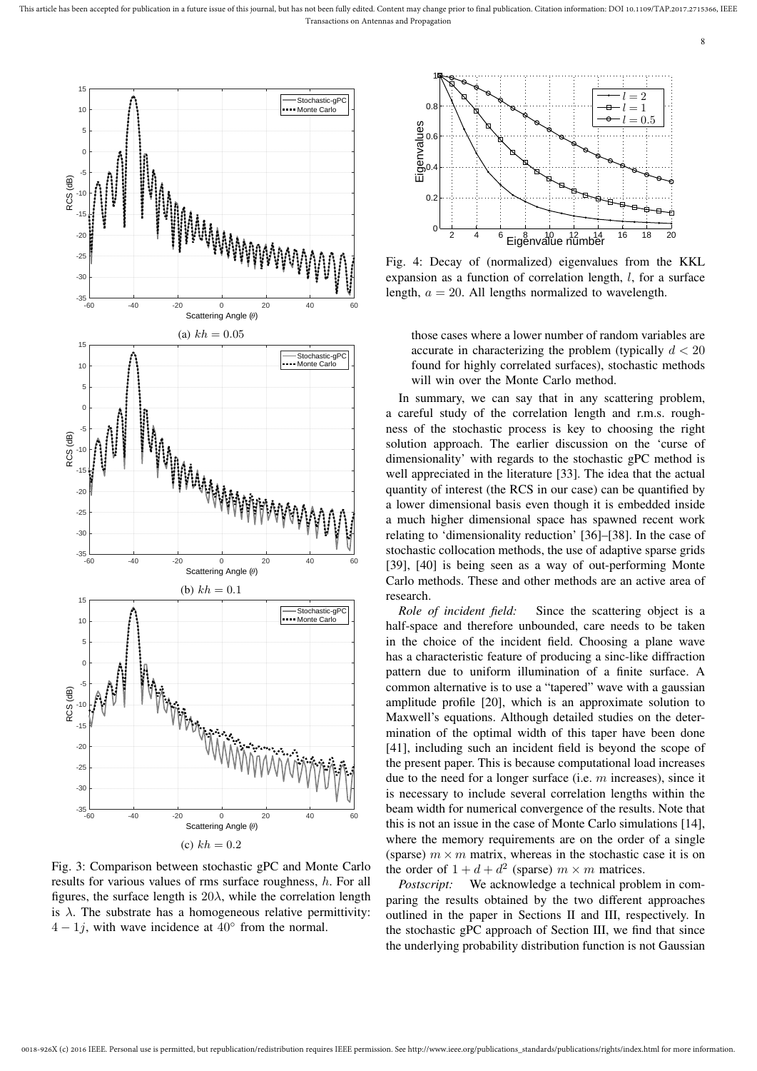

Fig. 3: Comparison between stochastic gPC and Monte Carlo results for various values of rms surface roughness, h. For all figures, the surface length is  $20\lambda$ , while the correlation length is  $\lambda$ . The substrate has a homogeneous relative permittivity:  $4 - 1j$ , with wave incidence at  $40^{\circ}$  from the normal.



Fig. 4: Decay of (normalized) eigenvalues from the KKL expansion as a function of correlation length, l, for a surface length,  $a = 20$ . All lengths normalized to wavelength.

those cases where a lower number of random variables are accurate in characterizing the problem (typically  $d < 20$ found for highly correlated surfaces), stochastic methods will win over the Monte Carlo method.

In summary, we can say that in any scattering problem, a careful study of the correlation length and r.m.s. roughness of the stochastic process is key to choosing the right solution approach. The earlier discussion on the 'curse of dimensionality' with regards to the stochastic gPC method is well appreciated in the literature [33]. The idea that the actual quantity of interest (the RCS in our case) can be quantified by a lower dimensional basis even though it is embedded inside a much higher dimensional space has spawned recent work relating to 'dimensionality reduction' [36]–[38]. In the case of stochastic collocation methods, the use of adaptive sparse grids [39], [40] is being seen as a way of out-performing Monte Carlo methods. These and other methods are an active area of research.

*Role of incident field:* Since the scattering object is a half-space and therefore unbounded, care needs to be taken in the choice of the incident field. Choosing a plane wave has a characteristic feature of producing a sinc-like diffraction pattern due to uniform illumination of a finite surface. A common alternative is to use a "tapered" wave with a gaussian amplitude profile [20], which is an approximate solution to Maxwell's equations. Although detailed studies on the determination of the optimal width of this taper have been done [41], including such an incident field is beyond the scope of the present paper. This is because computational load increases due to the need for a longer surface (i.e. m increases), since it is necessary to include several correlation lengths within the beam width for numerical convergence of the results. Note that this is not an issue in the case of Monte Carlo simulations [14], where the memory requirements are on the order of a single (sparse)  $m \times m$  matrix, whereas in the stochastic case it is on the order of  $1 + d + d^2$  (sparse)  $m \times m$  matrices.

*Postscript:* We acknowledge a technical problem in comparing the results obtained by the two different approaches outlined in the paper in Sections II and III, respectively. In the stochastic gPC approach of Section III, we find that since the underlying probability distribution function is not Gaussian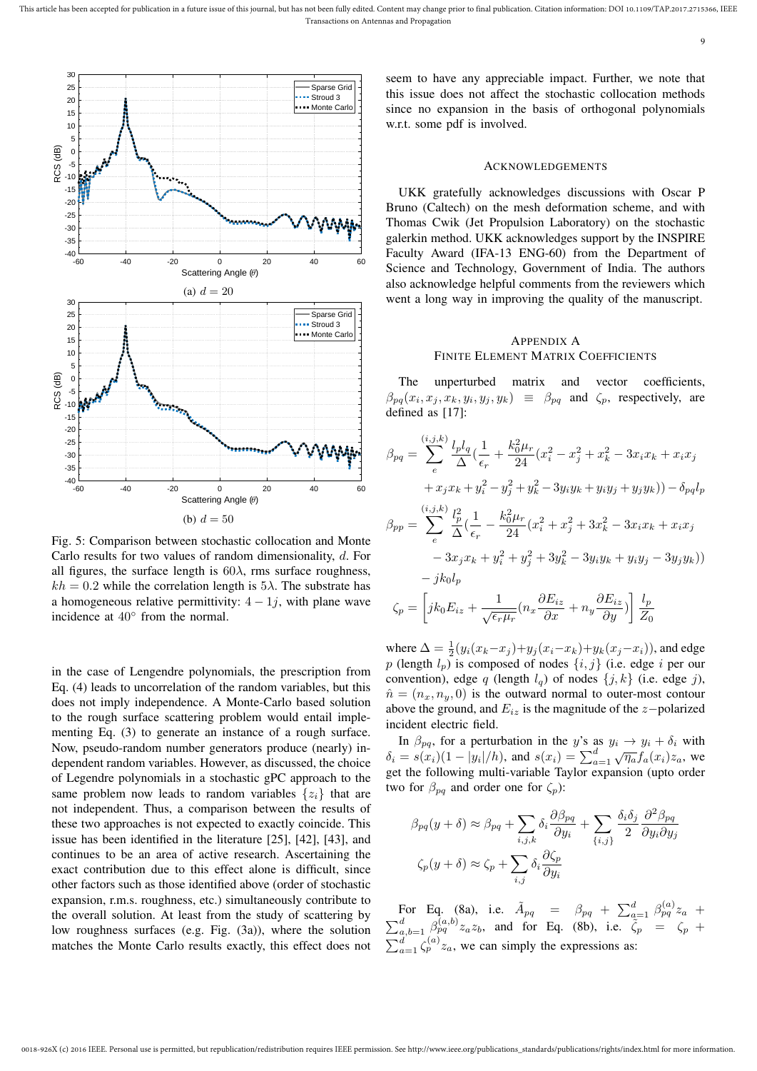

Scattering Angle  $(\theta)$ (b)  $d = 50$ 

Fig. 5: Comparison between stochastic collocation and Monte Carlo results for two values of random dimensionality, d. For all figures, the surface length is  $60\lambda$ , rms surface roughness,  $kh = 0.2$  while the correlation length is  $5\lambda$ . The substrate has a homogeneous relative permittivity:  $4 - 1j$ , with plane wave incidence at 40◦ from the normal.

in the case of Lengendre polynomials, the prescription from Eq. (4) leads to uncorrelation of the random variables, but this does not imply independence. A Monte-Carlo based solution to the rough surface scattering problem would entail implementing Eq. (3) to generate an instance of a rough surface. Now, pseudo-random number generators produce (nearly) independent random variables. However, as discussed, the choice of Legendre polynomials in a stochastic gPC approach to the same problem now leads to random variables  $\{z_i\}$  that are not independent. Thus, a comparison between the results of these two approaches is not expected to exactly coincide. This issue has been identified in the literature [25], [42], [43], and continues to be an area of active research. Ascertaining the exact contribution due to this effect alone is difficult, since other factors such as those identified above (order of stochastic expansion, r.m.s. roughness, etc.) simultaneously contribute to the overall solution. At least from the study of scattering by low roughness surfaces (e.g. Fig. (3a)), where the solution matches the Monte Carlo results exactly, this effect does not seem to have any appreciable impact. Further, we note that this issue does not affect the stochastic collocation methods since no expansion in the basis of orthogonal polynomials

#### ACKNOWLEDGEMENTS

UKK gratefully acknowledges discussions with Oscar P Bruno (Caltech) on the mesh deformation scheme, and with Thomas Cwik (Jet Propulsion Laboratory) on the stochastic galerkin method. UKK acknowledges support by the INSPIRE Faculty Award (IFA-13 ENG-60) from the Department of Science and Technology, Government of India. The authors also acknowledge helpful comments from the reviewers which went a long way in improving the quality of the manuscript.

## APPENDIX A FINITE ELEMENT MATRIX COEFFICIENTS

The unperturbed matrix and vector coefficients,  $\beta_{pq}(x_i, x_j, x_k, y_i, y_j, y_k) \equiv \beta_{pq}$  and  $\zeta_p$ , respectively, are

$$
\beta_{pq} = \sum_{e}^{(i,j,k)} \frac{l_p l_q}{\Delta} \left( \frac{1}{\epsilon_r} + \frac{k_0^2 \mu_r}{24} (x_i^2 - x_j^2 + x_k^2 - 3x_i x_k + x_i x_j + x_j x_k + y_i^2 - y_j^2 + y_k^2 - 3y_i y_k + y_i y_j + y_j y_k) \right) - \delta_{pq} l_p
$$
  

$$
\beta_{pp} = \sum_{e}^{(i,j,k)} \frac{l_p^2}{\Delta} \left( \frac{1}{\epsilon_r} - \frac{k_0^2 \mu_r}{24} (x_i^2 + x_j^2 + 3x_k^2 - 3x_i x_k + x_i x_j - 3x_j x_k + y_i^2 + y_j^2 + 3y_k^2 - 3y_i y_k + y_i y_j - 3y_j y_k) \right)
$$

$$
- jk_0 l_p
$$
  

$$
\zeta_p = \left[ jk_0 E_{iz} + \frac{1}{\sqrt{\epsilon_r \mu_r}} (n_x \frac{\partial E_{iz}}{\partial x} + n_y \frac{\partial E_{iz}}{\partial y}) \right] \frac{l_p}{Z_0}
$$

where  $\Delta = \frac{1}{2}(y_i(x_k - x_j) + y_j(x_i - x_k) + y_k(x_j - x_i))$ , and edge p (length  $l_p$ ) is composed of nodes  $\{i, j\}$  (i.e. edge i per our convention), edge q (length  $l_q$ ) of nodes  $\{j, k\}$  (i.e. edge j),  $\hat{n} = (n_x, n_y, 0)$  is the outward normal to outer-most contour above the ground, and  $E_{iz}$  is the magnitude of the z−polarized incident electric field.

In  $\beta_{pq}$ , for a perturbation in the y's as  $y_i \rightarrow y_i + \delta_i$  with  $\delta_i = s(x_i)(1 - |y_i|/h)$ , and  $s(x_i) = \sum_{a=1}^{d} \sqrt{\eta_a} f_a(x_i) z_a$ , we get the following multi-variable Taylor expansion (upto order two for  $\beta_{pq}$  and order one for  $\zeta_p$ ):

$$
\beta_{pq}(y+\delta) \approx \beta_{pq} + \sum_{i,j,k} \delta_i \frac{\partial \beta_{pq}}{\partial y_i} + \sum_{\{i,j\}} \frac{\delta_i \delta_j}{2} \frac{\partial^2 \beta_{pq}}{\partial y_i \partial y_j}
$$

$$
\zeta_p(y+\delta) \approx \zeta_p + \sum_{i,j} \delta_i \frac{\partial \zeta_p}{\partial y_i}
$$

For Eq. (8a), i.e.  $\tilde{A}_{pq} = \beta_{pq} + \sum_{a=1}^{d} \beta_{pq}^{(a)} z_a$  +  $\sum_{a,b=1}^{d} \beta_{pq}^{(a,b)} z_a z_b$ , and for Eq. (8b), i.e.  $\zeta_p = \zeta_p + \zeta_p$  $\sum_{a=1}^{d} \zeta_{p}^{(a)} z_{a}$ , we can simply the expressions as: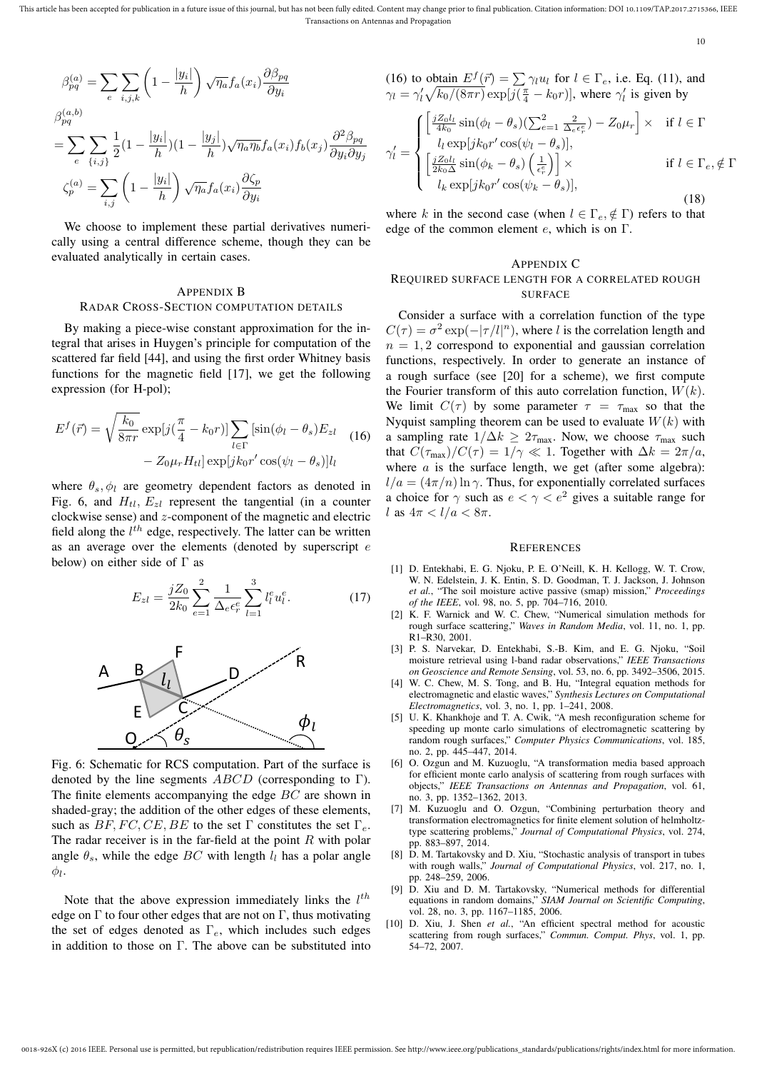This article has been accepted for publication in a future issue of this journal, but has not been fully edited. Content may change prior to final publication. Citation information: DOI 10.1109/TAP.2017.2715366, IEEE Transactions on Antennas and Propagation

10

$$
\beta_{pq}^{(a)} = \sum_{e} \sum_{i,j,k} \left( 1 - \frac{|y_i|}{h} \right) \sqrt{\eta_a} f_a(x_i) \frac{\partial \beta_{pq}}{\partial y_i}
$$
  

$$
\beta_{pq}^{(a,b)}
$$
  

$$
= \sum_{e} \sum_{\{i,j\}} \frac{1}{2} (1 - \frac{|y_i|}{h}) (1 - \frac{|y_j|}{h}) \sqrt{\eta_a \eta_b} f_a(x_i) f_b(x_j) \frac{\partial^2 \beta_{pq}}{\partial y_i \partial y_j}
$$
  

$$
\zeta_p^{(a)} = \sum_{i,j} \left( 1 - \frac{|y_i|}{h} \right) \sqrt{\eta_a} f_a(x_i) \frac{\partial \zeta_p}{\partial y_i}
$$

 $\sim$ 

We choose to implement these partial derivatives numerically using a central difference scheme, though they can be evaluated analytically in certain cases.

## APPENDIX B RADAR CROSS-SECTION COMPUTATION DETAILS

By making a piece-wise constant approximation for the integral that arises in Huygen's principle for computation of the scattered far field [44], and using the first order Whitney basis functions for the magnetic field [17], we get the following expression (for H-pol);

$$
E^{f}(\vec{r}) = \sqrt{\frac{k_0}{8\pi r}} \exp[j(\frac{\pi}{4} - k_0 r)] \sum_{l \in \Gamma} [\sin(\phi_l - \theta_s) E_{zl} \quad (16)
$$

$$
- Z_0 \mu_r H_{tl}] \exp[jk_0 r' \cos(\psi_l - \theta_s)] l_l
$$

where  $\theta_s$ ,  $\phi_l$  are geometry dependent factors as denoted in Fig. 6, and  $H_{tl}$ ,  $E_{zl}$  represent the tangential (in a counter clockwise sense) and z-component of the magnetic and electric field along the  $l^{th}$  edge, respectively. The latter can be written as an average over the elements (denoted by superscript e below) on either side of Γ as

$$
E_{zl} = \frac{jZ_0}{2k_0} \sum_{e=1}^{2} \frac{1}{\Delta_e \epsilon_r^e} \sum_{l=1}^{3} l_l^e u_l^e.
$$
 (17)



Fig. 6: Schematic for RCS computation. Part of the surface is denoted by the line segments  $ABCD$  (corresponding to Γ). The finite elements accompanying the edge BC are shown in shaded-gray; the addition of the other edges of these elements, such as  $BF, FC, CE, BE$  to the set  $\Gamma$  constitutes the set  $\Gamma_e$ . The radar receiver is in the far-field at the point  $R$  with polar angle  $\theta_s$ , while the edge BC with length  $l_l$  has a polar angle  $\phi_l.$ 

Note that the above expression immediately links the  $l^{th}$ edge on  $\Gamma$  to four other edges that are not on  $\Gamma$ , thus motivating the set of edges denoted as  $\Gamma_e$ , which includes such edges in addition to those on  $\Gamma$ . The above can be substituted into (16) to obtain  $E^f(\vec{r}) = \sum \gamma_l u_l$  for  $l \in \Gamma_e$ , i.e. Eq. (11), and  $\gamma_l = \gamma_l' \sqrt{k_0/(8\pi r)} \exp[j(\frac{\pi}{4} - k_0 r)],$  where  $\gamma_l'$  is given by

$$
\gamma'_{l} = \begin{cases}\n\left[\frac{jZ_0l_l}{4k_0}\sin(\phi_l - \theta_s)(\sum_{e=1}^2 \frac{2}{\Delta_e \epsilon_r^e}) - Z_0\mu_r\right] \times & \text{if } l \in \Gamma \\
l_l \exp[jk_0r'\cos(\psi_l - \theta_s)], \\
\left[\frac{jZ_0l_l}{2k_0\Delta}\sin(\phi_k - \theta_s)\left(\frac{1}{\epsilon_r^e}\right)\right] \times & \text{if } l \in \Gamma_e, \notin \Gamma \\
l_k \exp[jk_0r'\cos(\psi_k - \theta_s)],\n\end{cases}
$$
\n
$$
(18)
$$

where k in the second case (when  $l \in \Gamma_e, \notin \Gamma$ ) refers to that edge of the common element  $e$ , which is on  $\Gamma$ .

#### APPENDIX C

## REQUIRED SURFACE LENGTH FOR A CORRELATED ROUGH **SURFACE**

Consider a surface with a correlation function of the type  $C(\tau) = \sigma^2 \exp(-|\tau/l|^n)$ , where l is the correlation length and  $n = 1, 2$  correspond to exponential and gaussian correlation functions, respectively. In order to generate an instance of a rough surface (see [20] for a scheme), we first compute the Fourier transform of this auto correlation function,  $W(k)$ . We limit  $C(\tau)$  by some parameter  $\tau = \tau_{\text{max}}$  so that the Nyquist sampling theorem can be used to evaluate  $W(k)$  with a sampling rate  $1/\Delta k \geq 2\tau_{\text{max}}$ . Now, we choose  $\tau_{\text{max}}$  such that  $C(\tau_{\text{max}})/C(\tau) = 1/\gamma \ll 1$ . Together with  $\Delta k = 2\pi/a$ , where  $a$  is the surface length, we get (after some algebra):  $l/a = (4\pi/n) \ln \gamma$ . Thus, for exponentially correlated surfaces a choice for  $\gamma$  such as  $e < \gamma < e^2$  gives a suitable range for l as  $4\pi < l/a < 8\pi$ .

#### **REFERENCES**

- [1] D. Entekhabi, E. G. Njoku, P. E. O'Neill, K. H. Kellogg, W. T. Crow, W. N. Edelstein, J. K. Entin, S. D. Goodman, T. J. Jackson, J. Johnson *et al.*, "The soil moisture active passive (smap) mission," *Proceedings of the IEEE*, vol. 98, no. 5, pp. 704–716, 2010.
- [2] K. F. Warnick and W. C. Chew, "Numerical simulation methods for rough surface scattering," *Waves in Random Media*, vol. 11, no. 1, pp. R1–R30, 2001.
- [3] P. S. Narvekar, D. Entekhabi, S.-B. Kim, and E. G. Njoku, "Soil moisture retrieval using l-band radar observations," *IEEE Transactions on Geoscience and Remote Sensing*, vol. 53, no. 6, pp. 3492–3506, 2015.
- [4] W. C. Chew, M. S. Tong, and B. Hu, "Integral equation methods for electromagnetic and elastic waves," *Synthesis Lectures on Computational Electromagnetics*, vol. 3, no. 1, pp. 1–241, 2008.
- [5] U. K. Khankhoje and T. A. Cwik, "A mesh reconfiguration scheme for speeding up monte carlo simulations of electromagnetic scattering by random rough surfaces," *Computer Physics Communications*, vol. 185, no. 2, pp. 445–447, 2014.
- [6] O. Ozgun and M. Kuzuoglu, "A transformation media based approach for efficient monte carlo analysis of scattering from rough surfaces with objects," *IEEE Transactions on Antennas and Propagation*, vol. 61, no. 3, pp. 1352–1362, 2013.
- [7] M. Kuzuoglu and O. Ozgun, "Combining perturbation theory and transformation electromagnetics for finite element solution of helmholtztype scattering problems," *Journal of Computational Physics*, vol. 274, pp. 883–897, 2014.
- [8] D. M. Tartakovsky and D. Xiu, "Stochastic analysis of transport in tubes with rough walls," *Journal of Computational Physics*, vol. 217, no. 1, pp. 248–259, 2006.
- [9] D. Xiu and D. M. Tartakovsky, "Numerical methods for differential equations in random domains," *SIAM Journal on Scientific Computing*, vol. 28, no. 3, pp. 1167–1185, 2006.
- [10] D. Xiu, J. Shen et al., "An efficient spectral method for acoustic scattering from rough surfaces," *Commun. Comput. Phys*, vol. 1, pp. 54–72, 2007.